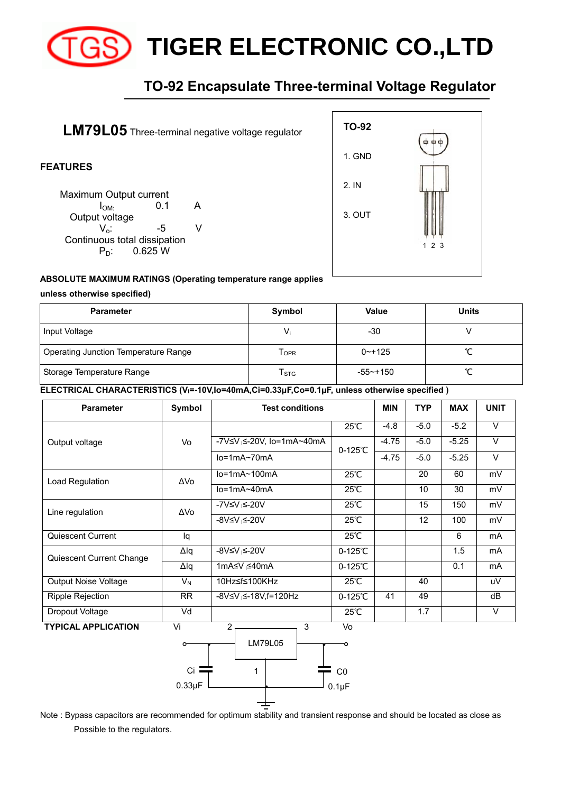

# **TIGER ELECTRONIC CO.,LTD**

## **TO-92 Encapsulate Three-terminal Voltage Regulator**



#### **ABSOLUTE MAXIMUM RATINGS (Operating temperature range applies**

#### **unless otherwise specified)**

| <b>Parameter</b>                     | Symbol                    | <b>Value</b> | <b>Units</b> |  |
|--------------------------------------|---------------------------|--------------|--------------|--|
| Input Voltage                        | Vi                        | -30          |              |  |
| Operating Junction Temperature Range | Topr                      | $0 - + 125$  |              |  |
| Storage Temperature Range            | $\mathsf{T}_{\text{STG}}$ | $-55$ ~+150  |              |  |

**ELECTRICAL CHARACTERISTICS (VI=-10V,Io=40mA,Ci=0.33μF,Co=0.1μF, unless otherwise specified )**

| <b>Parameter</b>            | Symbol      | <b>Test conditions</b>                |                   | <b>MIN</b> | <b>TYP</b> | <b>MAX</b> | <b>UNIT</b>    |
|-----------------------------|-------------|---------------------------------------|-------------------|------------|------------|------------|----------------|
| Output voltage              | Vo          |                                       | 25℃               | $-4.8$     | $-5.0$     | $-5.2$     | $\vee$         |
|                             |             | -7V≤V <sub>I</sub> ≤-20V, Io=1mA~40mA | $0-125^{\circ}C$  | $-4.75$    | $-5.0$     | $-5.25$    | V              |
|                             |             | $lo=1mA~70mA$                         |                   | $-4.75$    | $-5.0$     | $-5.25$    | $\vee$         |
| Load Regulation             | ΔVo         | $lo=1mA~100mA$                        | $25^{\circ}$ C    |            | 20         | 60         | mV             |
|                             |             | $lo=1mA\sim40mA$                      | 25℃               |            | 10         | 30         | mV             |
| Line regulation             | ΔVo         | -7V≤V <sub>I</sub> ≤-20V              | 25℃               |            | 15         | 150        | mV             |
|                             |             | -8V≤V <sub>I</sub> ≤-20V              | 25℃               |            | 12         | 100        | mV             |
| Quiescent Current           | lq          |                                       | $25^{\circ}$ C    |            |            | 6          | mA             |
| Quiescent Current Change    | Δlq         | -8V≤V <sub>I</sub> ≤-20V              | $0-125^{\circ}C$  |            |            | 1.5        | mA             |
|                             | $\Delta$ lq | 1mA≤V <sub>I</sub> ≤40mA              | $0-125^{\circ}$ C |            |            | 0.1        | m <sub>A</sub> |
| <b>Output Noise Voltage</b> | $V_N$       | 10Hz≤f≤100KHz                         | $25^{\circ}$ C    |            | 40         |            | uV             |
| <b>Ripple Rejection</b>     | <b>RR</b>   | -8V≤V <sub>I</sub> ≤-18V,f=120Hz      | $0-125^{\circ}C$  | 41         | 49         |            | dB             |
| Dropout Voltage             | Vd          |                                       | $25^{\circ}$ C    |            | 1.7        |            | V              |
| <b>TYPICAL APPLICATION</b>  | Vi          | $2-$<br>3                             | Vo                |            |            |            |                |



Note : Bypass capacitors are recommended for optimum stability and transient response and should be located as close as Possible to the regulators.